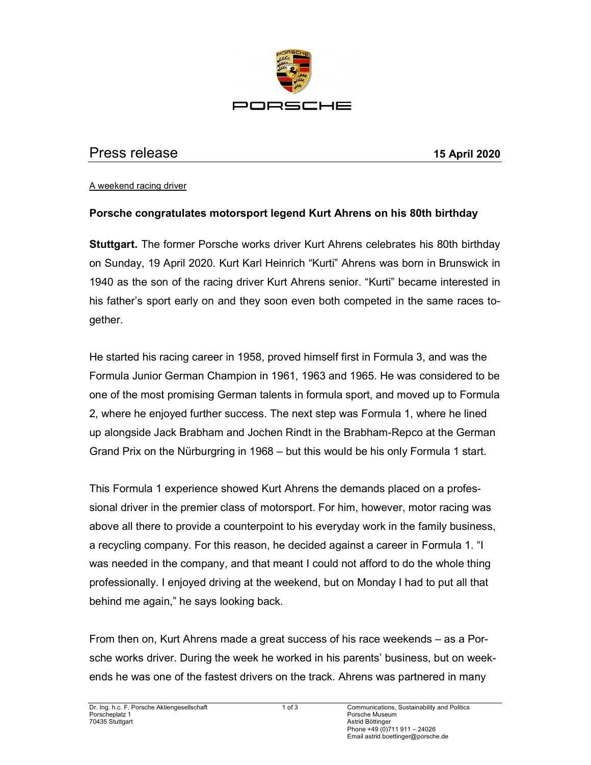

## Press release 15 April 2020

A weekend racing driver

## Porsche congratulates motorsport legend Kurt Ahrens on his 80th birthday

Stuttgart. The former Porsche works driver Kurt Ahrens celebrates his 80th birthday on Sunday, 19 April 2020. Kurt Karl Heinrich "Kurti" Ahrens was born in Brunswick in 1940 as the son of the racing driver Kurt Ahrens senior. "Kurti" became interested in his father's sport early on and they soon even both competed in the same races together.

He started his racing career in 1958, proved himself first in Formula 3, and was the Formula Junior German Champion in 1961, 1963 and 1965. He was considered to be one of the most promising German talents in formula sport, and moved up to Formula 2, where he enjoyed further success. The next step was Formula 1, where he lined up alongside Jack Brabham and Jochen Rindt in the Brabham-Repco at the German Grand Prix on the Nürburgring in 1968 – but this would be his only Formula 1 start.

This Formula 1 experience showed Kurt Ahrens the demands placed on a professional driver in the premier class of motorsport. For him, however, motor racing was above all there to provide a counterpoint to his everyday work in the family business, a recycling company. For this reason, he decided against a career in Formula 1. "I was needed in the company, and that meant I could not afford to do the whole thing professionally. I enjoyed driving at the weekend, but on Monday I had to put all that behind me again," he says looking back.

From then on, Kurt Ahrens made a great success of his race weekends – as a Porsche works driver. During the week he worked in his parents' business, but on weekends he was one of the fastest drivers on the track. Ahrens was partnered in many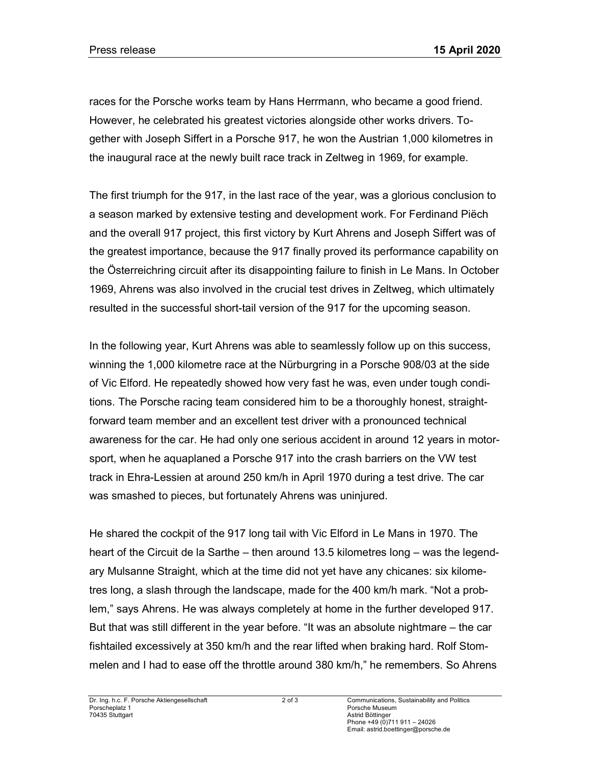races for the Porsche works team by Hans Herrmann, who became a good friend. However, he celebrated his greatest victories alongside other works drivers. Together with Joseph Siffert in a Porsche 917, he won the Austrian 1,000 kilometres in the inaugural race at the newly built race track in Zeltweg in 1969, for example.

The first triumph for the 917, in the last race of the year, was a glorious conclusion to a season marked by extensive testing and development work. For Ferdinand Piëch and the overall 917 project, this first victory by Kurt Ahrens and Joseph Siffert was of the greatest importance, because the 917 finally proved its performance capability on the Österreichring circuit after its disappointing failure to finish in Le Mans. In October 1969, Ahrens was also involved in the crucial test drives in Zeltweg, which ultimately resulted in the successful short-tail version of the 917 for the upcoming season.

In the following year, Kurt Ahrens was able to seamlessly follow up on this success, winning the 1,000 kilometre race at the Nürburgring in a Porsche 908/03 at the side of Vic Elford. He repeatedly showed how very fast he was, even under tough conditions. The Porsche racing team considered him to be a thoroughly honest, straightforward team member and an excellent test driver with a pronounced technical awareness for the car. He had only one serious accident in around 12 years in motorsport, when he aquaplaned a Porsche 917 into the crash barriers on the VW test track in Ehra-Lessien at around 250 km/h in April 1970 during a test drive. The car was smashed to pieces, but fortunately Ahrens was uninjured.

He shared the cockpit of the 917 long tail with Vic Elford in Le Mans in 1970. The heart of the Circuit de la Sarthe – then around 13.5 kilometres long – was the legendary Mulsanne Straight, which at the time did not yet have any chicanes: six kilometres long, a slash through the landscape, made for the 400 km/h mark. "Not a problem," says Ahrens. He was always completely at home in the further developed 917. But that was still different in the year before. "It was an absolute nightmare – the car fishtailed excessively at 350 km/h and the rear lifted when braking hard. Rolf Stommelen and I had to ease off the throttle around 380 km/h," he remembers. So Ahrens